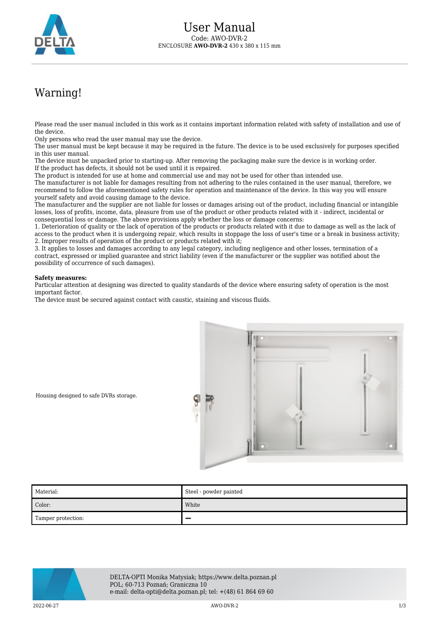

## Warning!

Please read the user manual included in this work as it contains important information related with safety of installation and use of the device.

Only persons who read the user manual may use the device.

The user manual must be kept because it may be required in the future. The device is to be used exclusively for purposes specified in this user manual.

The device must be unpacked prior to starting-up. After removing the packaging make sure the device is in working order. If the product has defects, it should not be used until it is repaired.

The product is intended for use at home and commercial use and may not be used for other than intended use.

The manufacturer is not liable for damages resulting from not adhering to the rules contained in the user manual, therefore, we recommend to follow the aforementioned safety rules for operation and maintenance of the device. In this way you will ensure yourself safety and avoid causing damage to the device.

The manufacturer and the supplier are not liable for losses or damages arising out of the product, including financial or intangible losses, loss of profits, income, data, pleasure from use of the product or other products related with it - indirect, incidental or consequential loss or damage. The above provisions apply whether the loss or damage concerns:

1. Deterioration of quality or the lack of operation of the products or products related with it due to damage as well as the lack of access to the product when it is undergoing repair, which results in stoppage the loss of user's time or a break in business activity; 2. Improper results of operation of the product or products related with it;

3. It applies to losses and damages according to any legal category, including negligence and other losses, termination of a contract, expressed or implied guarantee and strict liability (even if the manufacturer or the supplier was notified about the possibility of occurrence of such damages).

## **Safety measures:**

Particular attention at designing was directed to quality standards of the device where ensuring safety of operation is the most important factor.

The device must be secured against contact with caustic, staining and viscous fluids.



Housing designed to safe DVRs storage.

| Material:          | Steel - powder painted |
|--------------------|------------------------|
| Color:             | White                  |
| Tamper protection: |                        |



DELTA-OPTI Monika Matysiak; https://www.delta.poznan.pl POL; 60-713 Poznań; Graniczna 10 e-mail: delta-opti@delta.poznan.pl; tel: +(48) 61 864 69 60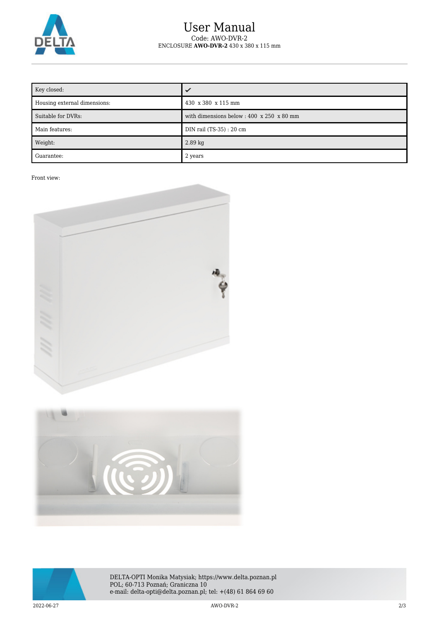

## User Manual Code: AWO-DVR-2 ENCLOSURE **AWO-DVR-2** 430 x 380 x 115 mm

| Key closed:                  |                                                               |
|------------------------------|---------------------------------------------------------------|
| Housing external dimensions: | 430 x 380 x 115 mm                                            |
| Suitable for DVRs:           | with dimensions below : $400 \times 250 \times 80 \text{ mm}$ |
| Main features:               | DIN rail (TS-35) : 20 cm                                      |
| Weight:                      | $2.89$ kg                                                     |
| Guarantee:                   | 2 years                                                       |

Front view:







DELTA-OPTI Monika Matysiak; https://www.delta.poznan.pl POL; 60-713 Poznań; Graniczna 10 e-mail: delta-opti@delta.poznan.pl; tel: +(48) 61 864 69 60